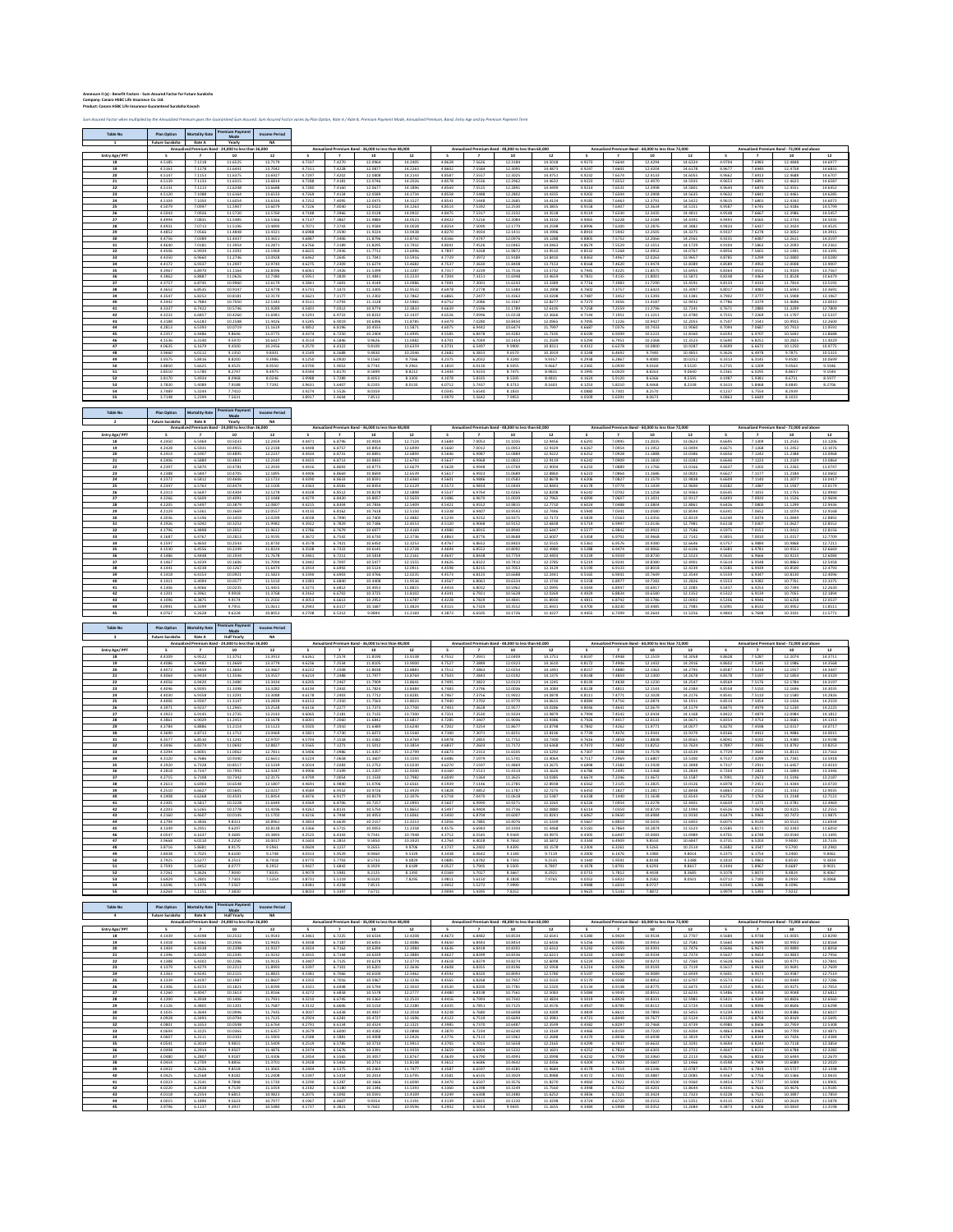**Annexure II (a) - Benefit Factors - Sum Assured Factor for Future Suraksha Company: Canara HSBC Life Insurance Co. Ltd. Product: Canara HSBC Life Insurance Guaranteed Suraksha Kavach**

**Table No Plan Option Mortality Rate Premium Payment** 

**Mode**

Sum Assured Factor when multiplied by the Annualized Premium gives the Guaranteed Sum Assured. Sum Assured Factor varies by Plan Option, Rate A / Rate B, Premium Payment Mode, Annualised Premium, Band, Entry Age and by Pre

**Income Period**

|                       | <b>Future Suraksha</b> | Rate A                | Yearly                                                     | NΑ                   |                  |                  |                                                            |                    |                  |                  |                                                            |                    | Annualized Premium Band - 60,000 to less than 72,000 |                  |                                                            | Annualized Premium Band - 72,000 and above |                  |                  |                                                  |                    |
|-----------------------|------------------------|-----------------------|------------------------------------------------------------|----------------------|------------------|------------------|------------------------------------------------------------|--------------------|------------------|------------------|------------------------------------------------------------|--------------------|------------------------------------------------------|------------------|------------------------------------------------------------|--------------------------------------------|------------------|------------------|--------------------------------------------------|--------------------|
| <b>Entry Age/ PPT</b> |                        |                       | Annualized Premium Band - 24,000 to less than 36,000<br>10 | 12                   |                  |                  | Annualized Premium Band - 36,000 to less than 48,000<br>10 | 12                 |                  |                  | Annualized Premium Band - 48,000 to less than 60.000<br>10 | 12                 | - 5                                                  |                  | -10                                                        | 12                                         |                  |                  | 10                                               | 12                 |
| 18                    | 4.5185                 | 7.1218                | 11.6525                                                    | 13.7179              | 4.7337           | 7.4270           | 12.0964                                                    | 14.2405            | 4.8628           | 7.5626           | 12.3184                                                    | 14.5018            | 4.9273                                               | 7.6644           | 12.4294                                                    | 14.6324                                    | 4.9704           | 7.6983           | 12.4848                                          | 14.6977            |
| 19                    | 4.5161                 | 7.1178                | 11.6441                                                    | 13.7042              | 4.7311           | 7.4228           | 12.0877                                                    | 14.2263            | 4.8602           | 7.5584           | 12.3095                                                    | 14.4873            | 4.9247                                               | 7.6601           | 12.4204                                                    | 14.6178                                    | 4.9677           | 7.6940           | 12.4758                                          | 14.6831            |
| 20                    | 4.5147                 | 7.1153                | 11.6375                                                    | 13.6927              | 4.7297           | 7.4202           | 12.0808                                                    | 14.2143            | 4.8587           | 7.5557           | 12.3025                                                    | 14.4751            | 4.9232                                               | 7.6574           | 12.4133                                                    | 14.6055                                    | 4.9662           | 7.6913           | 12.4688                                          | 14.6707            |
| 21                    | 4.5139                 | 7.1133                | 11.6315                                                    | 13.6814              | 4.7288           | 7.4181           | 12.0746                                                    | 14.2026            | 4.8578           | 7.5536           | 12.2962                                                    | 14.4632            | 4.9223                                               | 7.6552           | 12.4070                                                    | 14.5935                                    | 4.9653           | 7.6891           | 12.4623                                          | 14.6587            |
| 22<br>23              | 4.5131<br>4.5120       | 7.1113<br>7.1088      | 11.6248<br>11.6164                                         | 13.6688<br>13.6533   | 4.7280<br>4.7269 | 7.4160<br>7.4134 | 12.0677<br>12.0589                                         | 14.1896<br>14.1734 | 4.8569<br>4.8558 | 7.5515<br>7.5488 | 12.2891<br>12.2802                                         | 14.4499<br>14.4335 | 4.9214<br>4.9202                                     | 7.6531<br>7.6504 | 12.3998<br>12.3908                                         | 14.5801<br>14.5635                         | 4.9644<br>4.9632 | 7.6870<br>7.6842 | 12.4551<br>12.4461                               | 14.6452<br>14.6285 |
| 24                    | 4.5104                 | 7.1050                | 11.6054                                                    | 13.6334              | 4.7252           | 7.4095           | 12.0475                                                    | 14.1527            | 4.8541           | 7.5448           | 12.2685                                                    | 14.4124            | 4.9185                                               | 7.6463           | 12.3791                                                    | 14.5422                                    | 4.9615           | 7.6801           | 12.4343                                          | 14.6072            |
| 25                    | 4.5079                 | 7.0997                | 11.5907                                                    | 13.6079              | 4.7226           | 7.4040           | 12.0322                                                    | 14.1263            | 4.8514           | 7.5392           | 12.2530                                                    | 14.3855            | 4.9158                                               | 7.6407           | 12.3634                                                    | 14.5151                                    | 4.9587           | 7.6745           | 12.4186                                          | 14.5799            |
| 26                    | 4.5043                 | 7.0926                | 11.5720                                                    | 13.5760              | 4.7188           | 7.3966           | 12.0128                                                    | 14.0932            | 4.8475           | 7.5317           | 12.2332                                                    | 14.3518            | 4.9119                                               | 7.6330           | 12.3435                                                    | 14.4811                                    | 4.9548           | 7.6667           | 12.3986                                          | 14.5457            |
| 27                    | 4.4994                 | 7.0831                | 11.5485                                                    | 13.5366              | 4.7137           | 7.3867           | 11.9884                                                    | 14.0523            | 4.8422           | 7.5216           | 12.2084                                                    | 14.3102            | 4.9065                                               | 7.6228           | 12.3184                                                    | 14.4391                                    | 4.9493           | 7.6565           | 12.3734                                          | 14.5035            |
| 28<br>29              | 4.4931<br>4.4852       | 7.0713<br>7.0566      | 11.5196<br>11.4848                                         | 13.4890<br>13.4321   | 4.7071<br>4.6988 | 7.3743<br>7.3590 | 11.9584<br>11.9224                                         | 14.0028<br>13.9438 | 4.8354<br>4.8270 | 7.5090<br>7.4934 | 12.1779<br>12.1411                                         | 14.2598<br>14.1996 | 4.8996<br>4.8910                                     | 7.6100<br>7.5942 | 12.2876<br>12.2505                                         | 14.3882<br>14.3275                         | 4.9424<br>4.9337 | 7.6437<br>7.6278 | 12.3424<br>12.3052                               | 14.4525<br>14.3915 |
| 30                    | 4.4756                 | 7.0389                | 11.4437                                                    | 13.3651              | 4.6887           | 7.3406           | 11.8796                                                    | 13.8742            | 4.8166           | 7.4747           | 12.0976                                                    | 14.1288            | 4.8805                                               | 7.5752           | 12.2066                                                    | 14.2561                                    | 4.9231           | 7.6087           | 12.2611                                          | 14.3197            |
| 31                    | 4.4640                 | 7.0181                | 11.3954                                                    | 13.2871              | 4.6766           | 7.3189           | 11.8295                                                    | 13.7932            | 4.8041           | 7.4526           | 12.0465                                                    | 14.0463            | 4.8679                                               | 7.5529           | 12.1551                                                    | 14.1729                                    | 4.9104           | 7.5863           | 12.2093                                          | 14.2361            |
| 32                    | 4.4506                 | 6.9939                | 11.3392                                                    | 13.1969              | 4.6625           | 7.2936           | 11.7712                                                    | 13.6996            | 4.7897           | 7.4268           | 11.9872                                                    | 13.9510            | 4.8532                                               | 7.5268           | 12.0952                                                    | 14.0767                                    | 4.8956           | 7.5601           | 12.1491                                          | 14.1395            |
| 33                    | 4.4350                 | 6.9660                | 11.2746                                                    | 13.0928              | 4.6462           | 7.2645           | 11.7041                                                    | 13.5916            | 4.7729           | 7.3972           | 11.9189                                                    | 13.8410            | 4.8363                                               | 7.4967           | 12.0263                                                    | 13.9657                                    | 4.8785           | 7.5299           | 12.0800                                          | 14.0280            |
| 34<br>35              | 4.4172<br>4.3967       | 6.9337<br>6.8970      | 11.2007<br>11.1164                                         | 12.9740<br>12.8396   | 4.6275<br>4.6061 | 7.2309<br>7.1926 | 11.6274<br>11.5399                                         | 13.4682<br>13.3287 | 4.7537<br>4.7317 | 7.3630<br>7.3239 | 11.8408<br>11.7516                                         | 13.7153<br>13.5732 | 4.8168<br>4.7945                                     | 7.4620<br>7.4225 | 11.9474<br>11.8575                                         | 13.8389<br>13.6955                         | 4.8589<br>4.8364 | 7.4950<br>7.4553 | 12.0008<br>11.9104                               | 13.9007<br>13.7567 |
| 36                    | 4.3862                 | 6.8887                | 11.0626                                                    | 12.7380              | 4.5951           | 7.1839           | 11.4841                                                    | 13.2233            | 4.7204           | 7.3151           | 11.6948                                                    | 13.4659            | 4.7831                                               | 7.4135           | 11.8001                                                    | 13.5872                                    | 4.8248           | 7.4463           | 11.8528                                          | 13.6479            |
| 37                    | 4.3757                 | 6.8745                | 10.9960                                                    | 12.6179              | 4.5841           | 7.1691           | 11.4149                                                    | 13.0986            | 4.7091           | 7.3001           | 11.6243                                                    | 13.3389            | 4.7716                                               | 7.3983           | 11.7290                                                    | 13.4591                                    | 4.8133           | 7.4310           | 11.7814                                          | 13.5192            |
| 38                    | 4.3652                 | 6.8535                | 10.9147                                                    | 12.4778              | 4.5731           | 7.1472           | 11.3305                                                    | 12.9532            | 4.6978           | 7.2778           | 11.5384                                                    | 13.1908            | 4.7602                                               | 7.3757           | 11.6423                                                    | 13.3097                                    | 4.8017           | 7.4083           | 11.6943                                          | 13.3691            |
| 39                    | 4.3547                 | 6.8252                | 10.8181                                                    | 12.3170              | 4.5621           | 7.1177           | 11.2302                                                    | 12.7862            | 4.6865           | 7.2477           | 11.4363                                                    | 13.0208            | 4.7487                                               | 7.3452           | 11.5393                                                    | 13.1381                                    | 4.7902           | 7.3777           | 11.5908                                          | 13.1967            |
| 40<br>41              | 4.3442<br>4.3337       | 6.7884<br>6.7422      | 10.7050<br>10.5746                                         | 12.1343<br>11.9289   | 4.5511<br>4.5401 | 7.0793<br>7.0312 | 11.1128<br>10.9774                                         | 12.5965<br>12.3833 | 4.6752<br>4.6639 | 7.2086<br>7.1596 | 11.3167<br>11.1789                                         | 12.8277<br>12.6105 | 4.7373<br>4.7258                                     | 7.3056<br>7.2559 | 11.4187<br>11.2796                                         | 12.9432<br>12.7241                         | 4.7786<br>4.7671 | 7.3379<br>7.2880 | 11.4696<br>11.3299                               | 13.0010<br>12.7809 |
| 42                    | 4.3232                 | 6.6857                | 10.4260                                                    | 11.6981              | 4.5291           | 6.9722           | 10.8232                                                    | 12.1437            | 4.6526           | 7.0996           | 11.0218                                                    | 12.3666            | 4.7144                                               | 7.1951           | 11.1211                                                    | 12.4780                                    | 4.7555           | 7.2269           | 11.1707                                          | 12.5337            |
| 43                    | 4.3188                 | 6.6183                | 10.2588                                                    | 11.4426              | 4.5245           | 6.9019           | 10.6496                                                    | 11.8785            | 4.6479           | 7.0280           | 10.8450                                                    | 12.0965            | 4.7095                                               | 7.1226           | 10.9427                                                    | 12.2055                                    | 4.7507           | 7.1541           | 10.9915                                          | 12.2600            |
| 44                    | 4.2813                 | 6.5393                | 10.0719                                                    | 11.1619              | 4.4852           | 6.8196           | 10.4555                                                    | 11.5871            | 4.6075           | 6.9442           | 10.6474                                                    | 11.7997            | 4.6687                                               | 7.0376           | 10.7433                                                    | 11.9060                                    | 4.7094           | 7.0687           | 10.7913                                          | 11.9591            |
| 45                    | 4.2357                 | 6.4486                | 9.8646                                                     | 11.0775              | 4.4374           | 6.7250           | 10.2404                                                    | 11.4995            | 4.5585           | 6.8478           | 10.4283                                                    | 11.7105            | 4.6190                                               | 6.9399           | 10.5222                                                    | 11.8160                                    | 4.6593           | 6.9707           | 10.5692                                          | 11.8688            |
| 46<br>47              | 4.1536<br>4.0635       | 6.3140<br>6.1679      | 9.5970<br>9.4500                                           | 10.6427<br>10.2456   | 4.3514<br>4.2570 | 6.5846<br>6.4322 | 9.9626<br>9.8100                                           | 11.0482<br>10.6359 | 4.4701<br>4.3731 | 6.7049<br>6.5497 | 10.1454<br>9.9900                                          | 11.2509<br>10.8311 | 4.5294<br>4.4312                                     | 6.7951<br>6.6378 | 10.2368<br>10.0800                                         | 11.3523<br>10.9287                         | 4.5690<br>4.4699 | 6.8251<br>6.6672 | 10.2825<br>10.1250                               | 11.4029<br>10.9775 |
| 48                    | 3.9660                 | 6.0112                | 9.1350                                                     | 9.8301               | 4.1549           | 6.2688           | 9.4830                                                     | 10.2046            | 4.2682           | 6.3833           | 9.6570                                                     | 10.3919            | 4.3248                                               | 6.4692           | 9.7440                                                     | 10.4855                                    | 4.3626           | 6.4978           | 9.7875                                           | 10.5323            |
| 49                    | 3.9375                 | 5.8416                | 8.8200                                                     | 9.3986               | 4.1250           | 6.0920           | 9.1560                                                     | 9.7566             | 4.2375           | 6.2032           | 9.3240                                                     | 9.9357             | 4.2938                                               | 6.2867           | 9.4080                                                     | 10.0252                                    | 4.3313           | 6.3145           | 9.4500                                           | 10.0699            |
| 50                    | 3.8850                 | 5.6625                | 8.4525                                                     | 8.9550               | 4.0700           | 5.9052           | 8.7745                                                     | 9.2961             | 4.1810           | 6.0130           | 8.9355                                                     | 9.4667             | 4.2365                                               | 6.0939           | 9.0160                                                     | 9.5520                                     | 4.2735           | 6.1209           | 9.0563                                           | 9.5946             |
| 51                    | 3.8510<br>3.8170       | 5.5780<br>5.4934      | 8.2747<br>8.0968                                           | 8.4975<br>8.0246     | 4.0344<br>3.9988 | 5.8170<br>5.7289 | 8.5899<br>8.4053                                           | 8.8212<br>8.3303   | 4.1444<br>4.1078 | 5.9233<br>5.8335 | 8.7475<br>8.5595                                           | 8.9831<br>8.4831   | 4.1995<br>4.1624                                     | 6.0029<br>5.9120 | 8.8263<br>8.6366                                           | 9.0640<br>8.5595                           | 4.2361<br>4.1987 | 6.0295<br>5.9381 | 8.8657<br>8.6751                                 | 9.1044<br>8.5977   |
| 52<br>53              | 3.7830                 | 5.4089                | 7.9188                                                     | 7.7192               | 3.9631           | 5.6407           | 8.2205                                                     | 8.0133             | 4.0712           | 5.7437           | 8.3713                                                     | 8.1603             | 4.1253                                               | 5.8210           | 8.4468                                                     | 8.2338                                     | 4.1613           | 5.8468           | 8.4845                                           | 8.2706             |
| 54                    | 3.7489                 | 5.3244                | 7.7410                                                     |                      | 3.9274           | 5.5526           | 8.0359                                                     |                    | 4.0345           | 5.6540           | 8.1833                                                     |                    | 4.0880                                               | 5.7301           | 8.2570                                                     |                                            | 4.1237           | 5.7554           | 8.2939                                           |                    |
| 55                    | 3.7148                 | 5.2399                | 7.5631                                                     |                      | 3.8917           | 5.4644           | 7.8512                                                     |                    | 3.9979           | 5.5642           | 7.9953                                                     |                    | 4.0509                                               | 5.6391           | 8.0673                                                     |                                            | 4.0863           | 5.6640           | 8.1033                                           |                    |
|                       |                        |                       |                                                            |                      |                  |                  |                                                            |                    |                  |                  |                                                            |                    |                                                      |                  |                                                            |                                            |                  |                  |                                                  |                    |
| <b>Table No</b>       | <b>Plan Option</b>     | <b>Mortality Rate</b> | <b>Premium Payment</b><br>Mode                             | <b>Income Period</b> |                  |                  |                                                            |                    |                  |                  |                                                            |                    |                                                      |                  |                                                            |                                            |                  |                  |                                                  |                    |
|                       | <b>Future Suraksha</b> | <b>Rate B</b>         | Yearly                                                     | NΑ                   |                  |                  |                                                            |                    |                  |                  |                                                            |                    |                                                      |                  |                                                            |                                            |                  |                  |                                                  |                    |
|                       |                        |                       | Annualized Premium Band - 24,000 to less than 36,000       |                      |                  |                  | Annualized Premium Band - 36,000 to less than 48,000       |                    |                  |                  | Annualized Premium Band - 48,000 to less than 60,000       |                    |                                                      |                  | Annualized Premium Band - 60,000 to less than 72,000       |                                            |                  |                  | Annualized Premium Band - 72,000 and above       |                    |
| <b>Entry Age/ PPT</b> |                        |                       | 10                                                         | 12                   |                  |                  | 10                                                         | 12                 |                  |                  | 10                                                         | 12                 |                                                      |                  | 10                                                         | 12                                         |                  |                  | 10                                               | 12                 |
| 18                    | 4.2450                 | 6.5969                | 10.5033                                                    | 12.2459              | 4.4471           | 6.8796           | 10.9034                                                    | 12.7124            | 4.5684           | 7.0053           | 11.1035                                                    | 12.9456            | 4.6291                                               | 7.0995           | 11.2035                                                    | 13.0623                                    | 4.6695           | 7.1309           | 11.2535                                          | 13.1206            |
| 19<br>20              | 4.2428<br>4.2414       | 6.5931<br>6.5907      | 10.4955<br>10.4895                                         | 12.2338<br>12.2237   | 4.4448<br>4.4434 | 6.8757<br>6.8731 | 10.8954<br>10.8891                                         | 12.6999<br>12.6894 | 4.5660<br>4.5646 | 7.0012<br>6.9987 | 11.0953<br>11.0889                                         | 12.9329<br>12.9222 | 4.6267<br>4.6252                                     | 7.0954<br>7.0928 | 11.1952<br>11.1888                                         | 13.0494<br>13.0386                         | 4.6671<br>4.6656 | 7.1268<br>7.1242 | 11.2452<br>11.2388                               | 13.1076<br>13.0968 |
| 21                    | 4.2406                 | 6.5889                | 10.4841                                                    | 12.2140              | 4.4425           | 6.8713           | 10.8835                                                    | 12.6793            | 4.5637           | 6.9968           | 11.0832                                                    | 12.9119            | 4.6242                                               | 7.0909           | 11.1830                                                    | 13.0282                                    | 4.6646           | 7.1223           | 11.2329                                          | 13.0864            |
| 22                    | 4.2397                 | 6.5870                | 10.4781                                                    | 12.2030              | 4.4416           | 6.8693           | 10.8773                                                    | 12.6679            | 4.5628           | 6.9948           | 11.0769                                                    | 12.9004            | 4.6233                                               | 7.0889           | 11.1766                                                    | 13.0166                                    | 4.6637           | 7.1202           | 11.2265                                          | 13.0747            |
| 23                    | 4.2388                 | 6.5847                | 10.4705                                                    | 12.1895              | 4.4406           | 6.8669           | 10.8694                                                    | 12.6539            | 4.5617           | 6.9923           | 11.0689                                                    | 12.8860            | 4.6223                                               | 7.0864           | 11.1686                                                    | 13.0021                                    | 4.6627           | 7.1177           | 11.2184                                          | 13.0602            |
| 24                    | 4.2372                 | 6.5812                | 10.4606                                                    | 12.1723              | 4.4390           | 6.8633           | 10.8591                                                    | 12.6360            | 4.5601           | 6.9886           | 11.0583                                                    | 12.8678            | 4.6206                                               | 7.0827           | 11.1579                                                    | 12.9838                                    | 4.6609           | 7.1140           | 11.2077                                          | 13.0417            |
| 25                    | 4.2347                 | 6.5763                | 10.4474                                                    | 12.1500              | 4.4363           | 6.8581           | 10.8454                                                    | 12.6129            | 4.5573           | 6.9834           | 11.0444                                                    | 12.8443            | 4.6178                                               | 7.0774           | 11.1439                                                    | 12.9600                                    | 4.6582           | 7.1087           | 11.1937                                          | 13.0179            |
| 26<br>27              | 4.2313<br>4.2266       | 6.5697<br>6.5609      | 10.4304<br>10.4091                                         | 12.1278<br>12.1048   | 4.4328<br>4.4279 | 6.8512<br>6.8420 | 10.8278<br>10.8057                                         | 12.5898<br>12.5659 | 4.5537<br>4.5486 | 6.9764<br>6.9670 | 11.0265<br>11.0039                                         | 12.8208<br>12.7965 | 4.6142<br>4.6090                                     | 7.0702<br>7.0607 | 11.1258<br>11.1031                                         | 12.9363<br>12.9117                         | 4.6545<br>4.6493 | 7.1015<br>7.0920 | 11.1755<br>11.1526                               | 12.9940<br>12.9694 |
| 28                    | 4.2205                 | 6.5497                | 10.3879                                                    | 12.0807              | 4.4215           | 6.8304           | 10.7836                                                    | 12.5409            | 4.5421           | 6.9552           | 10.9815                                                    | 12.7710            | 4.6024                                               | 7.0488           | 11.0804                                                    | 12.8861                                    | 4.6426           | 7.0800           | 11.1299                                          | 12.9436            |
| 29                    | 4.2129                 | 6.5361                | 10.3669                                                    | 12.0557              | 4.4135           | 6.8162           | 10.7618                                                    | 12.5150            | 4.5338           | 6.9407           | 10.9593                                                    | 12.7446            | 4.5940                                               | 7.0341           | 11.0580                                                    | 12.8594                                    | 4.6341           | 7.0652           | 11.1074                                          | 12.9168            |
| 30                    | 4.2036                 | 6.5196                | 10.3459                                                    | 12.0299              | 4.4038           | 6.7990           | 10.7400                                                    | 12.4882            | 4.5239           | 6.9232           | 10.9371                                                    | 12.7173            | 4.5839                                               | 7.0163           | 11.0356                                                    | 12.8319                                    | 4.6240           | 7.0474           | 11.0849                                          | 12.8892            |
| 31                    | 4.1926                 | 6.5042                | 10.3252                                                    | 11.9982              | 4.3922           | 6.7829           | 10.7186                                                    | 12.4553            | 4.5120           | 6.9068           | 10.9152                                                    | 12.6838            | 4.5719                                               | 6.9997           | 11.0136                                                    | 12.7981                                    | 4.6118           | 7.0307           | 11.0627                                          | 12.8552            |
| 32<br>33              | 4.1796<br>4.1687       | 6.4898<br>6.4767      | 10.3052<br>10.2813                                         | 11.9612<br>11.9195   | 4.3786<br>4.3672 | 6.7679<br>6.7542 | 10.6977<br>10.6730                                         | 12.4169<br>12.3736 | 4.4980<br>4.4863 | 6.8915<br>6.8776 | 10.8940<br>10.8688                                         | 12.6447<br>12.6007 | 4.5577<br>4.5458                                     | 6.9842<br>6.9701 | 10.9922<br>10.9668                                         | 12.7586<br>12.7142                         | 4.5975<br>4.5855 | 7.0151<br>7.0010 | 11.0412<br>11.0157                               | 12.8156<br>12.7709 |
| 34                    | 4.1597                 | 6.4650                | 10.2543                                                    | 11.8730              | 4.3578           | 6.7421           | 10.6450                                                    | 12.3253            | 4.4767           | 6.8652           | 10.8403                                                    | 12.5515            | 4.5361                                               | 6.9576           | 10.9380                                                    | 12.6646                                    | 4.5757           | 6.9884           | 10.9868                                          | 12.7211            |
| 35                    | 4.1530                 | 6.4556                | 10.2249                                                    | 11.8224              | 4.3508           | 6.7322           | 10.6145                                                    | 12.2728            | 4.4694           | 6.8552           | 10.8092                                                    | 12.4980            | 4.5288                                               | 6.9474           | 10.9066                                                    | 12.6106                                    | 4.5683           | 6.9781           | 10.9553                                          | 12.6669            |
| 36                    | 4.1486                 | 6.4448                | 10.1934                                                    | 11.7678              | 4.3461           | 6.7211           | 10.5818                                                    | 12.2161            | 4.4647           | 6.8438           | 10.7759                                                    | 12.4403            | 4.5239                                               | 6.9359           | 10.8730                                                    | 12.5523                                    | 4.5635           | 6.9666           | 10.9215                                          | 12.6084            |
| 37                    | 4.1467                 | 6.4339                | 10.1606                                                    | 11.7094              | 4.3442           | 6.7097           | 10.5477                                                    | 12.1555            | 4.4626           | 6.8322           | 10.7412                                                    | 12.3785            | 4.5219                                               | 6.9241           | 10.8380                                                    | 12.4901                                    | 4.5614           | 6.9548           | 10.8863                                          | 12.5458            |
| 38                    | 4.1441                 | 6.4238                | 10.1267                                                    | 11.6474              | 4.3414           | 6.6992           | 10.5124                                                    | 12.0911            | 4.4598           | 6.8215           | 10.7053                                                    | 12.3129            | 4.5190                                               | 6.9133           | 10.8018                                                    | 12.4239                                    | 4.5585           | 6.9439           | 10.8500                                          | 12.4793            |
| 39<br>40              | 4.1418<br>4.1411       | 6.4153<br>6.4094      | 10.0921<br>10.0577                                         | 11.5823<br>11.5150   | 4.3390<br>4.3383 | 6.6903<br>6.6840 | 10.4766<br>10.4408                                         | 12.0235<br>11.9536 | 4.4573<br>4.4567 | 6.8125<br>6.8061 | 10.6688<br>10.6324                                         | 12.2441<br>12.1730 | 4.5165<br>4.5158                                     | 6.9041<br>6.8977 | 10.7649<br>10.7282                                         | 12.3544<br>12.2826                         | 4.5559<br>4.5553 | 6.9347<br>6.9282 | 10.8130<br>10.7761                               | 12.4096<br>12.3375 |
| 41                    | 4.1306                 | 6.4066                | 10.0235                                                    | 11.4455              | 4.3273           | 6.6812           | 10.4053                                                    | 11.8815            | 4.4454           | 6.8032           | 10.5962                                                    | 12.0995            | 4.5044                                               | 6.8947           | 10.6917                                                    | 12.2085                                    | 4.5437           | 6.9253           | 10.7394                                          | 12.2630            |
| 42                    | 4.1201                 | 6.3961                | 9.9918                                                     | 11.3768              | 4.3163           | 6.6702           | 10.3725                                                    | 11.8102            | 4.4341           | 6.7921           | 10.5628                                                    | 12.0269            | 4.4929                                               | 6.8834           | 10.6580                                                    | 12.1352                                    | 4.5322           | 6.9139           | 10.7055                                          | 12.1894            |
| 43                    | 4.1096                 | 6.3875                | 9.9174                                                     | 11.2502              | 4.3053           | 6.6613           | 10.2952                                                    | 11.6787            | 4.4228           | 6.7829           | 10.4841                                                    | 11.8930            | 4.4815                                               | 6.8742           | 10.5786                                                    | 12.0002                                    | 4.5206           | 6.9046           | 10.6258                                          | 12.0537            |
| -44                   | 4.0991                 | 6.3399                | 9.7955                                                     | 11.0611              | 4.2943           | 6.6117           | 10.1687                                                    | 11.4824            | 4.4115           | 6.7324           | 10.3552                                                    | 11.6931            | 4.4700                                               | 6.8230           | 10.4485                                                    | 11.7985                                    | 4.5091           | 6.8532           | 10.4952                                          | 11.8511            |
| 45                    | 4.0767                 | 6.2628                | 9.6228                                                     | 10.8053              | 4.2708           | 6.5312           | 9.9894                                                     | 11.2169            | 4.3873           | 6.6505           | 10.1726                                                    | 11.4227            | 4.4455                                               | 6.7399           | 10.2643                                                    | 11.5256                                    | 4.4843           | 6.7698           | 10.3101                                          | 11.5771            |
|                       |                        |                       | <b>Premium Payment</b>                                     |                      |                  |                  |                                                            |                    |                  |                  |                                                            |                    |                                                      |                  |                                                            |                                            |                  |                  |                                                  |                    |
| <b>Table No</b>       | <b>Plan Option</b>     | <b>Mortality Rate</b> | <b>Mode</b>                                                | <b>Income Period</b> |                  |                  |                                                            |                    |                  |                  |                                                            |                    |                                                      |                  |                                                            |                                            |                  |                  |                                                  |                    |
|                       | <b>Future Suraksha</b> | Rate A                | <b>Half Yearly</b>                                         | <b>NA</b>            |                  |                  |                                                            |                    |                  |                  |                                                            |                    |                                                      |                  |                                                            |                                            |                  |                  |                                                  |                    |
| <b>Entry Age/PPT</b>  |                        |                       | Annualized Premium Band - 24,000 to less than 36,000<br>10 | 12                   |                  |                  | Annualized Premium Band - 36,000 to less than 48,000<br>10 | 12                 |                  |                  | Annualized Premium Band - 48,000 to less than 60,000<br>10 | 12                 | - 5                                                  |                  | Annualized Premium Band - 60,000 to less than 72,000<br>10 | 12                                         |                  |                  | Annualized Premium Band - 72,000 and above<br>10 | 12                 |
| 18                    | 4.4109                 | 6.9522                | 11.3751                                                    | 13.3913              | 4.6261           | 7.2574           | 11.8190                                                    | 13.9138            | 4.7552           | 7.3931           | 12.0409                                                    | 14.1751            | 4.8197                                               | 7.4948           | 12.1519                                                    | 14.3058                                    | 4.8628           | 7.5287           | 12.2074                                          | 14.3711            |
| 19                    | 4.4086                 | 6.9483                | 11.3669                                                    | 13.3779              | 4.6236           | 7.2534           | 11.8105                                                    | 13.9000            | 4.7527           | 7.3889           | 12.0323                                                    | 14.1610            | 4.8172                                               | 7.4906           | 12.1432                                                    | 14.2916                                    | 4.8602           | 7.5245           | 12.1986                                          | 14.3568            |
| 20                    | 4.4072                 | 6.9459                | 11.3604                                                    | 13.3667              | 4.6222           | 7.2508           | 11.8038                                                    | 13.8883            | 4.7512           | 7.3863           | 12.0254                                                    | 14.1491            | 4.8157                                               | 7.4880           | 12.1363                                                    | 14.2795                                    | 4.8587           | 7.5219           | 12.1917                                          | 14.3447            |
| 21                    | 4.4064                 | 6.9439                | 11.3546                                                    | 13.3557              | 4.6214           | 7.2488           | 11.7977                                                    | 13.8769            | 4.7503           | 7.3843           | 12.0192                                                    | 14.1375            | 4.8148                                               | 7.4859           | 12.1300                                                    | 14.2678                                    | 4.8578           | 7.5197           | 12.1854                                          | 14.3329            |
| 22<br>23              | 4.4056<br>4.4046       | 6.9420<br>6.9395      | 11.3480<br>11.3398                                         | 13.3434<br>13.3282   | 4.6205<br>4.6194 | 7.2467<br>7.2442 | 11.7909<br>11.7824                                         | 13.8641<br>13.8484 | 4.7495<br>4.7483 | 7.3822<br>7.3796 | 12.0123<br>12.0036                                         | 14.1245<br>14.1084 | 4.8139<br>4.8128                                     | 7.4838<br>7.4811 | 12.1230<br>12.1143                                         | 14.2547<br>14.2384                         | 4.8569<br>4.8558 | 7.5176<br>7.5150 | 12.1784<br>12.1696                               | 14.3197<br>14.3035 |
| 24                    | 4.4030                 | 6.9358                | 11.3291                                                    | 13.3088              | 4.6178           | 7.2403           | 11.7712                                                    | 13.8281            | 4.7467           | 7.3756           | 11.9922                                                    | 14.0878            | 4.8111                                               | 7.4771           | 12.1028                                                    | 14.2176                                    | 4.8541           | 7.5110           | 12.1580                                          | 14.2826            |
| 25                    | 4.4006                 | 6.9307                | 11.3147                                                    | 13.2839              | 4.6152           | 7.2350           | 11.7563                                                    | 13.8023            | 4.7440           | 7.3702           | 11.9770                                                    | 14.0615            | 4.8084                                               | 7.4716           | 12.0874                                                    | 14.1911                                    | 4.8514           | 7.5054           | 12.1426                                          | 14.2559            |
| 26                    | 4.3971                 | 6.9237                | 11.2965                                                    | 13.2528              | 4.6116           | 7.2277           | 11.7373                                                    | 13.7700            | 4.7403           | 7.3628           | 11.9577                                                    | 14.0286            | 4.8046                                               | 7.4641           | 12.0679                                                    | 14.1579                                    | 4.8475           | 7.4979           | 12.1230                                          | 14.2225            |
| 27<br>28              | 4.3923<br>4.3861       | 6.9145<br>6.9029      | 11.2735<br>11.2453                                         | 13.2143<br>13.1678   | 4.6065<br>4.6001 | 7.2181<br>7.2060 | 11.7135<br>11.6842                                         | 13.7300<br>13.6817 | 4.7351<br>4.7285 | 7.3530<br>7.3407 | 11.9334<br>11.9036                                         | 13.9879<br>13.9386 | 4.7994<br>4.7926                                     | 7.4542<br>7.4417 | 12.0434<br>12.0133                                         | 14.1168<br>14.0671                         | 4.8422<br>4.8354 | 7.4879<br>7.4753 | 12.0984<br>12.0681                               | 14.1812<br>14.1313 |
| 29                    | 4.3784                 | 6.8886                | 11.2114                                                    | 13.1123              | 4.5920           | 7.1910           | 11.6489                                                    | 13.6240            | 4.7202           | 7.3254           | 11.8677                                                    | 13.8798            | 4.7842                                               | 7.4262           | 11.9771                                                    | 14.0077                                    | 4.8270           | 7.4598           | 12.0317                                          | 14.0717            |
| 30                    | 4.3690                 | 6.8713                | 11.1712                                                    | 13.0469              | 4.5821           | 7.1730           | 11.6072                                                    | 13.5560            | 4.7100           | 7.3071           | 11.8251                                                    | 13.8106            | 4.7739                                               | 7.4076           | 11.9341                                                    | 13.9379                                    | 4.8166           | 7.4412           | 11.9886                                          | 14.0015            |
| 31                    | 4.3577                 | 6.8510                | 11.1241                                                    | 12.9707              | 4.5703           | 7.1518           | 11.5582                                                    | 13.4769            | 4.6978           | 7.2855           | 11.7752                                                    | 13.7300            | 4.7616                                               | 7.3858           | 11.8838                                                    | 13.8565                                    | 4.8041           | 7.4192           | 11.9380                                          | 13.9198            |
| 32                    | 4.3446                 | 6.8274                | 11.0692                                                    | 12.8827              | 4.5565           | 7.1271           | 11.5012                                                    | 13.3854            | 4.6837           | 7.2603           | 11.7172                                                    | 13.6368            | 4.7473                                               | 7.3602           | 11.8252                                                    | 13.7624                                    | 4.7897           | 7.3935           | 11.8792                                          | 13.8253            |
| 33<br>34              | 4.3294<br>4.3120       | 6.8001<br>6.7686      | 11.0062<br>10.9340                                         | 12.7811<br>12.6651   | 4.5406<br>4.5224 | 7.0986<br>7.0658 | 11.4357<br>11.3607                                         | 13.2799<br>13.1593 | 4.6673<br>4.6486 | 7.2313<br>7.1979 | 11.6505<br>11.5741                                         | 13.5292<br>13.4064 | 4.7307<br>4.7117                                     | 7.3308<br>7.2969 | 11.7578<br>11.6807                                         | 13.6539<br>13.5300                         | 4.7729<br>4.7537 | 7.3640<br>7.3299 | 11.8115<br>11.7341                               | 13.7163<br>13.5918 |
| 35                    | 4.2920                 | 6.7328                | 10.8517                                                    | 12.5339              | 4.5014           | 7.0283           | 11.2752                                                    | 13.0230            | 4.6270           | 7.1597           | 11.4869                                                    | 13.2675            | 4.6898                                               | 7.2582           | 11.5928                                                    | 13.3898                                    | 4.7317           | 7.2911           | 11.6457                                          | 13.4510            |
| 36                    | 4.2818                 | 6.7247                | 10.7992                                                    | 12.4347              | 4.4906           | 7.0199           | 11.2207                                                    | 12.9200            | 4.6160           | 7.1511           | 11.4314                                                    | 13.1626            | 4.6786                                               | 7.2495           | 11.5368                                                    | 13.2839                                    | 4.7204           | 7.2823           | 11.5894                                          | 13.3446            |
| 37                    | 4.2715                 | 6.7108                | 10.7342                                                    | 12.3175              | 4.4799           | 7.0054           | 11.1530                                                    | 12.7982            | 4.6049           | 7.1364           | 11.3625                                                    | 13.0385            | 4.6674                                               | 7.2346           | 11.4672                                                    | 13.1587                                    | 4.7091           | 7.2673           | 11.5196                                          | 13.2187            |
| 38                    | 4.2613                 | 6.6903                | 10.6548                                                    | 12.1807              | 4.4691           | 6.9840           | 11.0706                                                    | 12.6561            | 4.5939           | 7.1146           | 11.2785                                                    | 12.8938            | 4.6562                                               | 7.2125           | 11.3825                                                    | 13.0126                                    | 4.6978           | 7.2451           | 11.4344                                          | 13.0720            |
| 39<br>40              | 4.2510<br>4.2408       | 6.6627<br>6.6268      | 10.5605<br>10.4501                                         | 12.0237<br>11.8454   | 4.4584<br>4.4476 | 6.9552<br>6.9177 | 10.9726<br>10.8579                                         | 12.4929<br>12.3076 | 4.5828<br>4.5718 | 7.0852<br>7.0470 | 11.1787<br>11.0618                                         | 12.7275<br>12.5387 | 4.6450<br>4.6338                                     | 7.1827<br>7.1440 | 11.2817<br>11.1638                                         | 12.8448<br>12.6543                         | 4.6865<br>4.6752 | 7.2152<br>7.1763 | 11.3332                                          | 12.9035<br>12.7121 |
| 41                    | 4.2305                 | 6.5817                | 10.3228                                                    | 11.6449              | 4.4369           | 6.8706           | 10.7257                                                    | 12.0993            | 4.5607           | 6.9990           | 10.9271                                                    | 12.3265            | 4.6226                                               | 7.0954           | 11.0278                                                    | 12.4401                                    | 4.6639           | 7.1275           | 11.2148<br>11.0781                               | 12.4969            |
| 42                    | 4.2203                 | 6.5265                | 10.1778                                                    | 11.4196              | 4.4261           | 6.8131           | 10.5750                                                    | 11.8652            | 4.5497           | 6.9404           | 10.7736                                                    | 12.0880            | 4.6114                                               | 7.0359           | 10.8729                                                    | 12.1994                                    | 4.6526           | 7.0678           | 10.9225                                          | 12.2551            |
| 43                    | 4.2160                 | 6.4607                | 10.0145                                                    | 11.1702              | 4.4216           | 6.7444           | 10.4053                                                    | 11.6061            | 4.5450           | 6.8704           | 10.6007                                                    | 11.8241            | 4.6067                                               | 6.9650           | 10.6984                                                    | 11.9330                                    | 4.6479           | 6.9965           | 10.7473                                          | 11.9875            |
| 44                    | 4.1794                 | 6.3836                | 9.8321                                                     | 10.8961              | 4.3833           | 6.6639           | 10.2157                                                    | 11.3213            | 4.5056           | 6.7885           | 10.4076                                                    | 11.5339            | 4.5667                                               | 6.8819           | 10.5035                                                    | 11.6402                                    | 4.6075           | 6.9130           | 10.5515                                          | 11.6934            |
| 45                    | 4.1349                 | 6.2951                | 9.6297                                                     | 10.8138              | 4.3366           | 6.5715           | 10.0055                                                    | 11.2358            | 4.4576           | 6.6943           | 10.1934                                                    | 11.4468            | 4.5181                                               | 6.7864           | 10.2874                                                    | 11.5523                                    | 4.5585           | 6.8171           | 10.3343                                          | 11.6050            |
| 46<br>47              | 4.0547<br>3.9668       | 6.1637<br>6.0210      | 9.3685<br>9.2250                                           | 10.3893<br>10.0017   | 4.2525<br>4.1603 | 6.4343<br>6.2853 | 9.7341<br>9.5850                                           | 10.7948<br>10.3920 | 4.3712<br>4.2764 | 6.5545<br>6.4028 | 9.9169<br>9.7650                                           | 10.9975<br>10.5872 | 4.4305<br>4.3344                                     | 6.6447<br>6.4909 | 10.0083<br>9.8550                                          | 11.0989<br>10.6847                         | 4.4701<br>4.3731 | 6.6748<br>6.5203 | 10.0540<br>9.9000                                | 11.1495<br>10.7335 |
| 48                    | 3.8716                 | 5.8681                | 8.9175                                                     | 9.5961               | 4.0604           | 6.1257           | 9.2655                                                     | 9.9706             | 4.1737           | 6.2402           | 9.4395                                                     | 10.1578            | 4.2304                                               | 6.3261           | 9.5265                                                     | 10.2514                                    | 4.2682           | 6.3547           | 9.5700                                           | 10.2982            |
| 49                    | 3.8438                 | 5.7025                | 8.6100                                                     | 9.1748               | 4.0313           | 5.9529           | 8.9460                                                     | 9.5329             | 4.1438           | 6.0642           | 9.1140                                                     | 9.7119             | 4.2000                                               | 6.1476           | 9.1980                                                     | 9.8014                                     | 4.2375           | 6.1754           | 9.2400                                           | 9.8461             |
| 50                    | 3.7925                 | 5.5277                | 8.2513                                                     | 8.7418               | 3.9775           | 5.7703           | 8.5733                                                     | 9.0829             | 4.0885           | 5.8782           | 8.7343                                                     | 9.2535             | 4.1440                                               | 5.9591           | 8.8148                                                     | 9.3388                                     | 4.1810           | 5.9861           | 8.8550                                           | 9.3814             |
| 51                    | 3.7593                 | 5.4452                | 8.0777                                                     | 8.2952               | 3.9427           | 5.6842           | 8.3929                                                     | 8.6189             | 4.0527           | 5.7905           | 8.5505                                                     | 8.7807             | 4.1078                                               | 5.8701           | 8.6293                                                     | 8.8617                                     | 4.1444           | 5.8967           | 8.6687                                           | 8.9021             |
| 52<br>53              | 3.7261<br>3.6929       | 5.3626<br>5.2801      | 7.9040<br>7.7303                                           | 7.8335<br>7.5354     | 3.9079<br>3.8731 | 5.5981           | 8.2125<br>8.0320                                           | 8.1392<br>7.8295   | 4.0169<br>3.9811 | 5.7027<br>5.6150 | 8.3667<br>8.1828                                           | 8.2921             | 4.0715<br>4.0352                                     | 5.7812<br>5.6922 | 8.4438<br>8.2582                                           | 8.3685<br>8.0501                           | 4.1078<br>4.0712 | 5.8073<br>5.7180 | 8.4824<br>8.2959                                 | 8.4067<br>8.0868   |
| 54                    | 3.6596                 | 5.1976                | 7.5567                                                     |                      | 3.8381           | 5.5119<br>5.4258 | 7.8515                                                     |                    | 3.9452           | 5.5272           | 7.9990                                                     | 7.9765             | 3.9988                                               | 5.6033           | 8.0727                                                     |                                            | 4.0345           | 5.6286           | 8.1096                                           |                    |
| 55                    | 3.6264                 | 5.1151                | 7.3830                                                     |                      | 3.8033           | 5.3397           | 7.6711                                                     |                    | 3.9094           | 5.4395           | 7.8152                                                     |                    | 3.9625                                               | 5.5143           | 7.8872                                                     |                                            | 3.9979           | 5.5393           | 7.9232                                           |                    |

| <b>Table No</b> | <b>Plan Option</b> | <b>Mortality Rate</b> | <b>Premium Payment</b><br><b>Mode</b> | <b>Income Period</b> |
|-----------------|--------------------|-----------------------|---------------------------------------|----------------------|
|                 |                    |                       |                                       |                      |

**Future Suraksha Rate B Half Yearly NA**

|                      |        |        | Annualized Premium Band - 24,000 to less than 36,000 |         |        |        | Annualized Premium Band - 36,000 to less than 48,000 |         |        |        | Annualized Premium Band - 48,000 to less than 60,000 |         | Annualized Premium Band - 60,000 to less than 72,000 |        |         |         | Annualized Premium Band - 72,000 and above |        |         |         |
|----------------------|--------|--------|------------------------------------------------------|---------|--------|--------|------------------------------------------------------|---------|--------|--------|------------------------------------------------------|---------|------------------------------------------------------|--------|---------|---------|--------------------------------------------|--------|---------|---------|
| <b>Entry Age/PPT</b> |        |        | 10                                                   | 12      |        |        | 10                                                   | 12      |        |        | 10                                                   | 12      |                                                      |        | 10      | 12      |                                            |        | 10      | 12      |
| 18                   | 4.1439 | 6.4398 | 10.2532                                              | 11.9543 | 4.3461 | 6.7225 | 10.6534                                              | 12.4208 | 4.4673 | 6.8482 | 10.8534                                              | 12.6541 | 4.5280                                               | 6.9424 | 10.9534 | 12.7707 | 4.5684                                     | 6.9738 | 11.0035 | 12.8290 |
| 19                   | 4.1418 | 6.4361 | 10.2456                                              | 11.9425 | 4.3438 | 6.7187 | 10.6455                                              | 12.4086 | 4.4650 | 6.8443 | 10.8454                                              | 12.6416 | 4.5256                                               | 6.9385 | 10.9453 | 12.7581 | 4.5660                                     | 6.9699 | 10.9953 | 12.8164 |
| 20                   | 4.1404 | 6.4338 | 10.2398                                              | 11.9327 | 4.3424 | 6.7162 | 10.6394                                              | 12.3984 | 4.4636 | 6.8418 | 10.8392                                              | 12.6312 | 4.5242                                               | 6.9359 | 10.9391 | 12.7476 | 4.5646                                     | 6.9673 | 10.9890 | 12.8058 |
| 21                   | 4.1396 | 6.4320 | 10.2345                                              | 11.9232 | 4.3415 | 6.7144 | 10.6339                                              | 12.3884 | 4.4627 | 6.8399 | 10.8336                                              | 12.6211 | 4.5233                                               | 6.9340 | 10.9334 | 12.7374 | 4.5637                                     | 6.9654 | 10.9833 | 12.7956 |
| 22                   | 4.1388 | 6.4302 | 10.2286                                              | 11.9125 | 4.3407 | 6.7125 | 10.6278                                              | 12.3774 | 4.4618 | 6.8379 | 10.8274                                              | 12.6098 | 4.5224                                               | 6.9320 | 10.9272 | 12.7260 | 4.5628                                     | 6.9634 | 10.9771 | 12.7841 |
| 23                   | 4.1379 | 6.4279 | 10.2212                                              | 11.8993 | 4.3397 | 6.7101 | 10.6201                                              | 12.3636 | 4.4608 | 6.8355 | 10.8196                                              | 12.5958 | 4.5214                                               | 6.9296 | 10.9193 | 12.7119 | 4.5617                                     | 6.9610 | 10.9691 | 12.7699 |
| 24                   | 4.1363 | 6.4245 | 10.2115                                              | 11.8825 | 4.3381 | 6.7066 | 10.6100                                              | 12.3462 | 4.4592 | 6.8320 | 10.8093                                              | 12.5780 | 4.5197                                               | 6.9260 | 10.9089 | 12.6939 | 4.5601                                     | 6.9573 | 10.9587 | 12.7519 |
| 25                   | 4.1339 | 6.4197 | 10.1987                                              | 11.8607 | 4.3355 | 6.7016 | 10.5967                                              | 12.3236 | 4.4565 | 6.8268 | 10.7957                                              | 12.5550 | 4.5170                                               | 6.9208 | 10.8952 | 12.6707 | 4.5573                                     | 6.9521 | 10.9449 | 12.7286 |
| 26                   | 4.1306 | 6.4133 | 10.1821                                              | 11.8390 | 4.3321 | 6.6948 | 10.5794                                              | 12.3010 | 4.4530 | 6.8200 | 10.7781                                              | 12.5320 | 4.5134                                               | 6.9138 | 10.8775 | 12.6475 | 4.5537                                     | 6.9451 | 10.9271 | 12.7053 |
| 27                   | 4.1260 | 6.4047 | 10.1613                                              | 11.8166 | 4.3272 | 6.6858 | 10.5578                                              | 12.2777 | 4.4480 | 6.8108 | 10.7561                                              | 12.5083 | 4.5084                                               | 6.9045 | 10.8552 | 12.6235 | 4.5486                                     | 6.9358 | 10.9048 | 12.6812 |
| 28                   | 4.1200 | 6.3938 | 10.1406                                              | 11.7931 | 4.3210 | 6.6745 | 10.5363                                              | 12.2533 | 4.4416 | 6.7993 | 10.7342                                              | 12.4834 | 4.5019                                               | 6.8928 | 10.8331 | 12.5985 | 4.5421                                     | 6.9240 | 10.8826 | 12.6560 |
| 29                   | 4.1126 | 6.3805 | 10.1201                                              | 11.7687 | 4.3132 | 6.6606 | 10.5150                                              | 12.2280 | 4.4335 | 6.7851 | 10.7125                                              | 12.4576 | 4.4937                                               | 6.8785 | 10.8112 | 12.5724 | 4.5338                                     | 6.9096 | 10.8606 | 12.6298 |
| 30                   | 4.1035 | 6.3644 | 10.0996                                              | 11.7435 | 4.3037 | 6.6438 | 10.4937                                              | 12.2018 | 4.4238 | 6.7680 | 10.6908                                              | 12.4309 | 4.4839                                               | 6.8611 | 10.7893 | 12.5455 | 4.5239                                     | 6.8922 | 10.8386 | 12.6027 |
| 31                   | 4.0928 | 6.3493 | 10.0794                                              | 11.7125 | 4.2924 | 6.6281 | 10.4727                                              | 12.1696 | 4.4122 | 6.7519 | 10.6694                                              | 12.3981 | 4.4721                                               | 6.8449 | 10.7677 | 12.5124 | 4.5120                                     | 6.8758 | 10.8169 | 12.5695 |
| 32                   | 4.0801 | 6.3353 | 10.0598                                              | 11.6764 | 4.2791 | 6.6134 | 10.4524                                              | 12.1321 | 4.3985 | 6.7370 | 10.6487                                              | 12.3599 | 4.4582                                               | 6.8297 | 10.7468 | 12.4739 | 4.4980                                     | 6.8606 | 10.7959 | 12.5308 |
| 33                   | 4.0694 | 6.3225 | 10.0365                                              | 11.6357 | 4.2679 | 6.6000 | 10.4282                                              | 12.0898 | 4.3870 | 6.7234 | 10.6240                                              | 12.3169 | 4.4466                                               | 6.8159 | 10.7220 | 12.4304 | 4.4863                                     | 6.8468 | 10.7709 | 12.4871 |
| 34                   | 4.0607 | 6.3111 | 10.0102                                              | 11.5903 | 4.2588 | 6.5881 | 10.4008                                              | 12.0426 | 4.3776 | 6.7113 | 10.5962                                              | 12.2688 | 4.4370                                               | 6.8036 | 10.6938 | 12.3819 | 4.4767                                     | 6.8344 | 10.7426 | 12.4384 |
| 35                   | 4.0541 | 6.3019 | 9.9815                                               | 11.5409 | 4.2519 | 6.5785 | 10.3710                                              | 11.9913 | 4.3705 | 6.7015 | 10.5658                                              | 12.2165 | 4.4299                                               | 6.7937 | 10.6632 | 12.3291 | 4.4694                                     | 6.8244 | 10.7118 | 12.3854 |
| 36                   | 4.0498 | 6.2914 | 9.9507                                               | 11.4876 | 4.2474 | 6.5676 | 10.3391                                              | 11.9359 | 4.3659 | 6.6904 | 10.5332                                              | 12.1601 | 4.4252                                               | 6.7824 | 10.6303 | 12.2722 | 4.4647                                     | 6.8131 | 10.6788 | 12.3282 |
| 37                   | 4.0480 | 6.2807 | 9.9187                                               | 11.4306 | 4.2454 | 6.5565 | 10.3057                                              | 11.8767 | 4.3639 | 6.6790 | 10.4993                                              | 12.0998 | 4.4232                                               | 6.7709 | 10.5960 | 12.2113 | 4.4626                                     | 6.8016 | 10.6444 | 12.2670 |
| 38                   | 4.0454 | 6.2709 | 9.8856                                               | 11.3701 | 4.2428 | 6.5462 | 10.2713                                              | 11.8138 | 4.3612 | 6.6686 | 10.4642                                              | 12.0356 | 4.4204                                               | 6.7603 | 10.5607 | 12.1466 | 4.4598                                     | 6.7909 | 10.6089 | 12.2020 |
| 39                   | 4.0432 | 6.2626 | 9.8518                                               | 11.3065 | 4.2404 | 6.5375 | 10.2363                                              | 11.7477 | 4.3587 | 6.6597 | 10.4285                                              | 11.9684 | 4.4179                                               | 6.7514 | 10.5246 | 12.0787 | 4.4573                                     | 6.7819 | 10.5727 | 12.1338 |
| 40                   | 4.0425 | 6.2568 | 9.8182                                               | 11.2408 | 4.2397 | 6.5314 | 10.2014                                              | 11.6795 | 4.3581 | 6.6535 | 10.3929                                              | 11.8988 | 4.4172                                               | 6.7451 | 10.4887 | 12.0085 | 4.4567                                     | 6.7756 | 10.5366 | 12.0633 |
| 41                   | 4.0323 | 6.2541 | 9.7848                                               | 11.1730 | 4.2290 | 6.5287 | 10.1666                                              | 11.6090 | 4.3470 | 6.6507 | 10.3576                                              | 11.8270 | 4.4060                                               | 6.7422 | 10.4530 | 11.9360 | 4.4454                                     | 6.7727 | 10.5008 | 11.9905 |
| 42                   | 4.0220 | 6.2438 | 9.7539                                               | 11.1059 | 4.2182 | 6.5180 | 10.1346                                              | 11.5393 | 4.3360 | 6.6398 | 10.3249                                              | 11.7560 | 4.3948                                               | 6.7312 | 10.4201 | 11.8644 | 4.4341                                     | 6.7616 | 10.4676 | 11.9185 |
| 43                   | 4.0118 | 6.2354 | 9.6813                                               | 10.9823 | 4.2075 | 6.5092 | 10.0591                                              | 11.4109 | 4.3249 | 6.6308 | 10.2480                                              | 11.6252 | 4.3836                                               | 6.7221 | 10.3424 | 11.7323 | 4.4228                                     | 6.7525 | 10.3897 | 11.7859 |
| 44                   | 4.0015 | 6.1890 | 9.5623                                               | 10.7977 | 4.1967 | 6.4607 | 9.9354                                               | 11.2191 | 4.3139 | 6.5815 | 10.1220                                              | 11.4298 | 4.3724                                               | 6.6720 | 10.2153 | 11.5351 | 4.4115                                     | 6.7022 | 10.2619 | 11.5878 |
| 45                   | 3.9796 | 6.1137 | 9.3937                                               | 10.5480 | 4.1737 | 6.3821 | 9.7602                                               | 10.9596 | 4.2902 | 6.5014 | 9.9435                                               | 11.1655 | 4.3484                                               | 6.5908 | 10.0352 | 11.2684 | 4.3873                                     | 6.6206 | 10.0810 | 11.3198 |